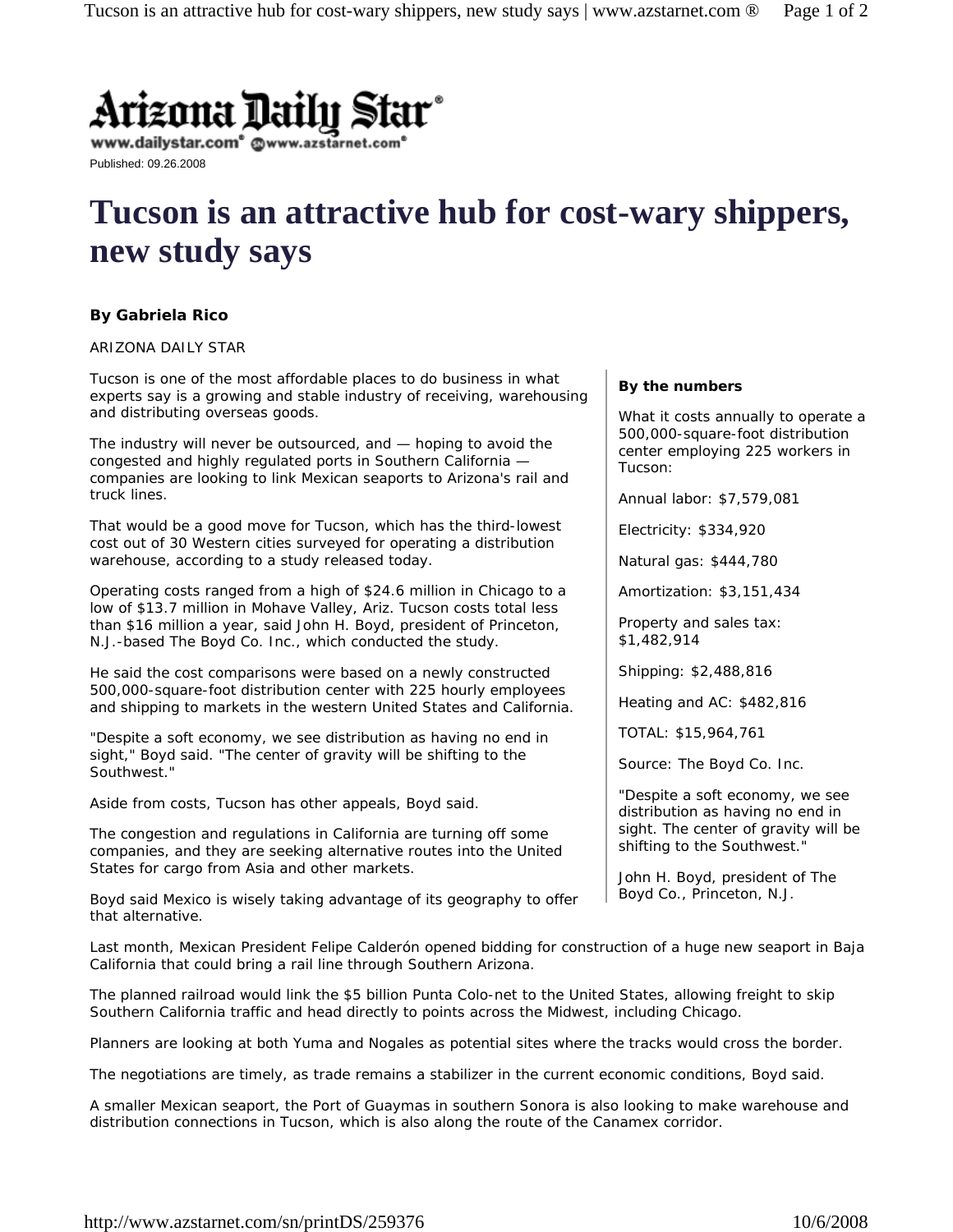

www.dailystar.com<sup>®</sup> @v

Published: 09.26.2008

# **Tucson is an attractive hub for cost-wary shippers, new study says**

## **By Gabriela Rico**

#### *ARIZONA DAILY STAR*

Tucson is one of the most affordable places to do business in what experts say is a growing and stable industry of receiving, warehousing and distributing overseas goods.

The industry will never be outsourced, and — hoping to avoid the congested and highly regulated ports in Southern California companies are looking to link Mexican seaports to Arizona's rail and truck lines.

That would be a good move for Tucson, which has the third-lowest cost out of 30 Western cities surveyed for operating a distribution warehouse, according to a study released today.

Operating costs ranged from a high of \$24.6 million in Chicago to a low of \$13.7 million in Mohave Valley, Ariz. Tucson costs total less than \$16 million a year, said John H. Boyd, president of Princeton, N.J.-based The Boyd Co. Inc., which conducted the study.

He said the cost comparisons were based on a newly constructed 500,000-square-foot distribution center with 225 hourly employees and shipping to markets in the western United States and California.

"Despite a soft economy, we see distribution as having no end in sight," Boyd said. "The center of gravity will be shifting to the Southwest."

Aside from costs, Tucson has other appeals, Boyd said.

The congestion and regulations in California are turning off some companies, and they are seeking alternative routes into the United States for cargo from Asia and other markets.

Boyd said Mexico is wisely taking advantage of its geography to offer that alternative.

### **By the numbers**

What it costs annually to operate a 500,000-square-foot distribution center employing 225 workers in Tucson:

Annual labor: \$7,579,081

Electricity: \$334,920

Natural gas: \$444,780

Amortization: \$3,151,434

Property and sales tax: \$1,482,914

Shipping: \$2,488,816

Heating and AC: \$482,816

TOTAL: \$15,964,761

Source: The Boyd Co. Inc.

"Despite a soft economy, we see distribution as having no end in sight. The center of gravity will be shifting to the Southwest."

John H. Boyd, president of The Boyd Co., Princeton, N.J.

Last month, Mexican President Felipe Calderón opened bidding for construction of a huge new seaport in Baja California that could bring a rail line through Southern Arizona.

The planned railroad would link the \$5 billion Punta Colo-net to the United States, allowing freight to skip Southern California traffic and head directly to points across the Midwest, including Chicago.

Planners are looking at both Yuma and Nogales as potential sites where the tracks would cross the border.

The negotiations are timely, as trade remains a stabilizer in the current economic conditions, Boyd said.

A smaller Mexican seaport, the Port of Guaymas in southern Sonora is also looking to make warehouse and distribution connections in Tucson, which is also along the route of the Canamex corridor.